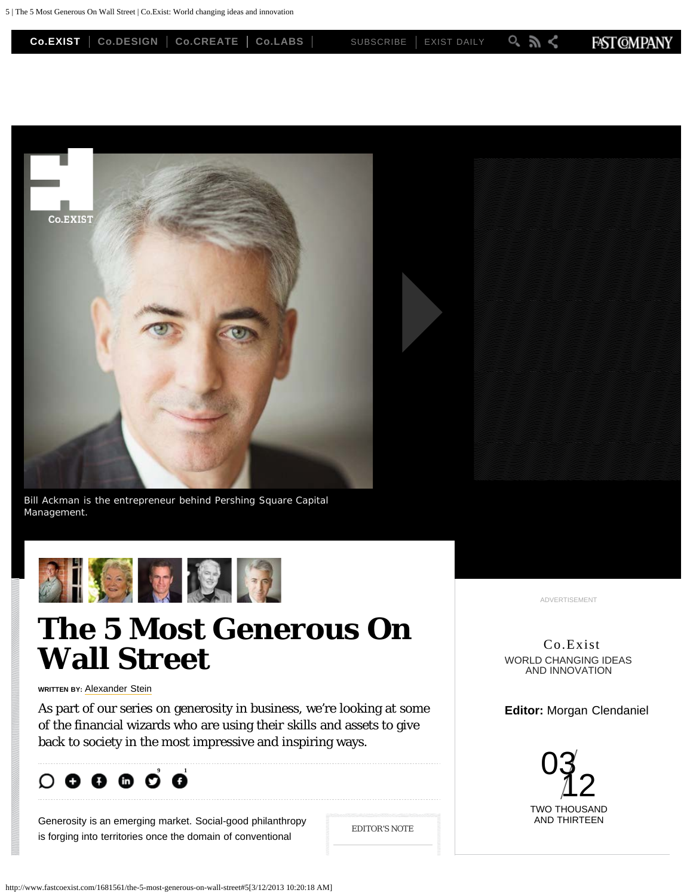<span id="page-0-0"></span>

| $Co.EXIST$   $Co.DESIGN$   $Co.CREATE$   $Co.LABS$ |  | SUBSCRIBE   EXIST DAILY Q N < | FAST COMPANY |
|----------------------------------------------------|--|-------------------------------|--------------|
|                                                    |  |                               |              |



Bill Ackman is the entrepreneur behind Pershing Square Capital Management.



# **The 5 Most Generous On Wall Street**

#### **WRITTEN BY:** [Alexander Stein](#page-6-0)

As part of our series on generosity in business, we're looking at some of the financial wizards who are using their skills and assets to give back to society in the most impressive and inspiring ways.

## **9 1**

Generosity is an emerging market. Social-good philanthropy is forging into territories once the domain of conventional

EDITOR'S NOTE

ADVERTISEMENT

#### Co.Exist WORLD CHANGING IDEAS AND INNOVATION

#### **[Editor:](http://www.fastcoexist.com/users/morgan-clendaniel)** [Morgan Clendaniel](http://www.fastcoexist.com/users/morgan-clendaniel)

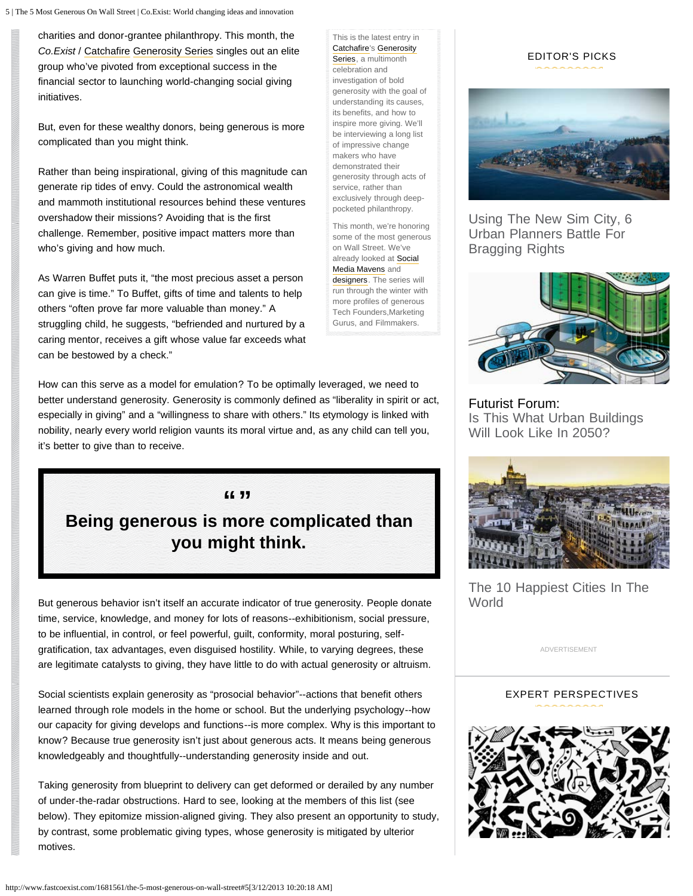charities and donor-grantee philanthropy. This month, the *Co.Exist* / [Catchafire](http://www.catchafire.org/) [Generosity Series](http://www.fastcoexist.com/section/generosity-series) singles out an elite group who've pivoted from exceptional success in the financial sector to launching world-changing social giving initiatives.

But, even for these wealthy donors, being generous is more complicated than you might think.

Rather than being inspirational, giving of this magnitude can generate rip tides of envy. Could the astronomical wealth and mammoth institutional resources behind these ventures overshadow their missions? Avoiding that is the first challenge. Remember, positive impact matters more than who's giving and how much.

As Warren Buffet puts it, "the most precious asset a person can give is time." To Buffet, gifts of time and talents to help others "often prove far more valuable than money." A struggling child, he suggests, "befriended and nurtured by a caring mentor, receives a gift whose value far exceeds what can be bestowed by a check."

How can this serve as a model for emulation? To be optimally leveraged, we need to better understand generosity. Generosity is commonly defined as "liberality in spirit or act, especially in giving" and a "willingness to share with others." Its etymology is linked with nobility, nearly every world religion vaunts its moral virtue and, as any child can tell you, it's better to give than to receive.

**Being generous is more complicated than you might think.**  $''$ 

But generous behavior isn't itself an accurate indicator of true generosity. People donate time, service, knowledge, and money for lots of reasons--exhibitionism, social pressure, to be influential, in control, or feel powerful, guilt, conformity, moral posturing, selfgratification, tax advantages, even disguised hostility. While, to varying degrees, these are legitimate catalysts to giving, they have little to do with actual generosity or altruism.

Social scientists explain generosity as "prosocial behavior"--actions that benefit others learned through role models in the home or school. But the underlying psychology--how our capacity for giving develops and functions--is more complex. Why is this important to know? Because true generosity isn't just about generous acts. It means being generous knowledgeably and thoughtfully--understanding generosity inside and out.

Taking generosity from blueprint to delivery can get deformed or derailed by any number of under-the-radar obstructions. Hard to see, looking at the members of this list (see below). They epitomize mission-aligned giving. They also present an opportunity to study, by contrast, some problematic giving types, whose generosity is mitigated by ulterior motives.

This is the latest entry in [Catchafire](http://www.catchafire.org/)'s [Generosity](http://www.fastcoexist.com/section/generosity-series) [Series,](http://www.fastcoexist.com/section/generosity-series) a multimonth celebration and investigation of bold generosity with the goal of understanding its causes, its benefits, and how to inspire more giving. We'll be interviewing a long list of impressive change makers who have demonstrated their generosity through acts of service, rather than exclusively through deeppocketed philanthropy.

This month, we're honoring some of the most generous on Wall Street. We've already looked at [Social](http://www.fastcoexist.com/1680919/the-10-most-generous-social-media-mavens#1) [Media Mavens](http://www.fastcoexist.com/1680919/the-10-most-generous-social-media-mavens#1) and [designers](http://www.fastcoexist.com/1681181/the-11-most-generous-designers). The series will run through the winter with more profiles of generous Tech Founders,Marketing Gurus, and Filmmakers.

### EDITOR'S PICKS



[Using The New Sim City, 6](http://www.fastcoexist.com/1681515/using-the-new-sim-city-6-urban-planners-battle-for-bragging-rights) [Urban Planners Battle For](http://www.fastcoexist.com/1681515/using-the-new-sim-city-6-urban-planners-battle-for-bragging-rights) [Bragging Rights](http://www.fastcoexist.com/1681515/using-the-new-sim-city-6-urban-planners-battle-for-bragging-rights)



[Futurist Forum:](http://www.fastcoexist.com/1681403/is-this-what-urban-buildings-will-look-like-in-2050) [Is This What Urban Buildings](http://www.fastcoexist.com/1681403/is-this-what-urban-buildings-will-look-like-in-2050) [Will Look Like In 2050?](http://www.fastcoexist.com/1681403/is-this-what-urban-buildings-will-look-like-in-2050)



[The 10 Happiest Cities In The](http://www.fastcoexist.com/1681359/the-10-happiest-cities-in-the-world) [World](http://www.fastcoexist.com/1681359/the-10-happiest-cities-in-the-world)

ADVERTISEMENT

## EXPERT PERSPECTIVES

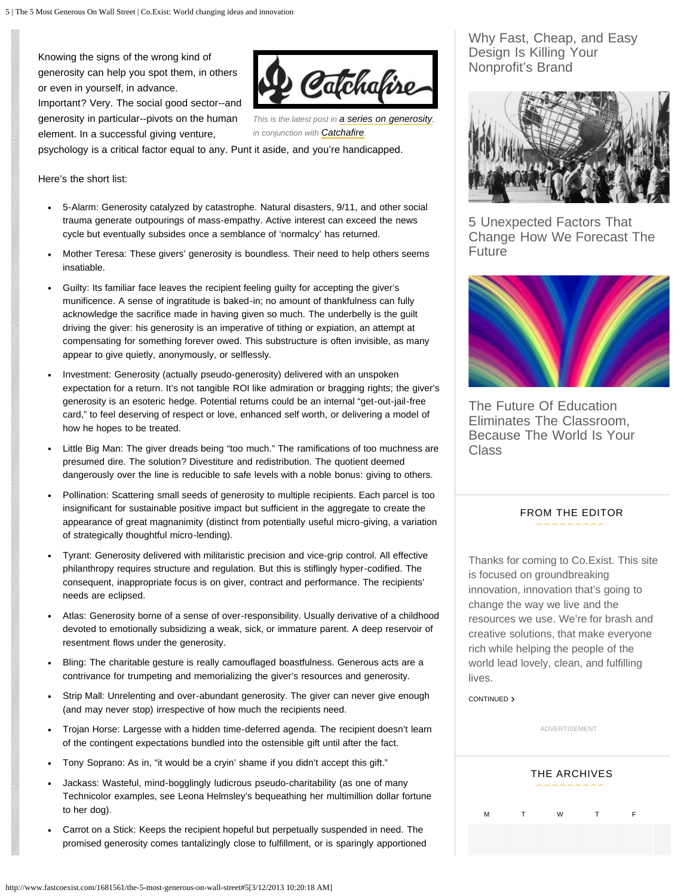Knowing the signs of the wrong kind of generosity can help you spot them, in others or even in yourself, in advance.

Important? Very. The social good sector--and generosity in particular--pivots on the human element. In a successful giving venture,



*This is the latest post in [a series on generosity](http://www.fastcoexist.com/section/generosity-series), in conjunction with [Catchafire.](http://www.catchafire.org/)*

psychology is a critical factor equal to any. Punt it aside, and you're handicapped.

#### Here's the short list:

- 5-Alarm: Generosity catalyzed by catastrophe. Natural disasters, 9/11, and other social trauma generate outpourings of mass-empathy. Active interest can exceed the news cycle but eventually subsides once a semblance of 'normalcy' has returned.
- Mother Teresa: These givers' generosity is boundless. Their need to help others seems insatiable.
- Guilty: Its familiar face leaves the recipient feeling guilty for accepting the giver's munificence. A sense of ingratitude is baked-in; no amount of thankfulness can fully acknowledge the sacrifice made in having given so much. The underbelly is the guilt driving the giver: his generosity is an imperative of tithing or expiation, an attempt at compensating for something forever owed. This substructure is often invisible, as many appear to give quietly, anonymously, or selflessly.
- Investment: Generosity (actually pseudo-generosity) delivered with an unspoken expectation for a return. It's not tangible ROI like admiration or bragging rights; the giver's generosity is an esoteric hedge. Potential returns could be an internal "get-out-jail-free card," to feel deserving of respect or love, enhanced self worth, or delivering a model of how he hopes to be treated.
- Little Big Man: The giver dreads being "too much." The ramifications of too muchness are  $\bullet$ presumed dire. The solution? Divestiture and redistribution. The quotient deemed dangerously over the line is reducible to safe levels with a noble bonus: giving to others.
- Pollination: Scattering small seeds of generosity to multiple recipients. Each parcel is too insignificant for sustainable positive impact but sufficient in the aggregate to create the appearance of great magnanimity (distinct from potentially useful micro-giving, a variation of strategically thoughtful micro-lending).
- Tyrant: Generosity delivered with militaristic precision and vice-grip control. All effective philanthropy requires structure and regulation. But this is stiflingly hyper-codified. The consequent, inappropriate focus is on giver, contract and performance. The recipients' needs are eclipsed.
- Atlas: Generosity borne of a sense of over-responsibility. Usually derivative of a childhood  $\bullet$ devoted to emotionally subsidizing a weak, sick, or immature parent. A deep reservoir of resentment flows under the generosity.
- Bling: The charitable gesture is really camouflaged boastfulness. Generous acts are a contrivance for trumpeting and memorializing the giver's resources and generosity.
- Strip Mall: Unrelenting and over-abundant generosity. The giver can never give enough (and may never stop) irrespective of how much the recipients need.
- Trojan Horse: Largesse with a hidden time-deferred agenda. The recipient doesn't learn of the contingent expectations bundled into the ostensible gift until after the fact.
- Tony Soprano: As in, "it would be a cryin' shame if you didn't accept this gift."
- Jackass: Wasteful, mind-bogglingly ludicrous pseudo-charitability (as one of many Technicolor examples, see Leona Helmsley's bequeathing her multimillion dollar fortune to her dog).
- Carrot on a Stick: Keeps the recipient hopeful but perpetually suspended in need. The promised generosity comes tantalizingly close to fulfillment, or is sparingly apportioned

[Why Fast, Cheap, and Easy](http://www.fastcoexist.com/1681437/why-fast-cheap-and-easy-design-is-killing-your-nonprofit-s-brand) [Design Is Killing Your](http://www.fastcoexist.com/1681437/why-fast-cheap-and-easy-design-is-killing-your-nonprofit-s-brand) [Nonprofit's Brand](http://www.fastcoexist.com/1681437/why-fast-cheap-and-easy-design-is-killing-your-nonprofit-s-brand)



[5 Unexpected Factors That](http://www.fastcoexist.com/1681338/5-unexpected-factors-that-change-how-we-forecast-the-future) [Change How We Forecast The](http://www.fastcoexist.com/1681338/5-unexpected-factors-that-change-how-we-forecast-the-future) [Future](http://www.fastcoexist.com/1681338/5-unexpected-factors-that-change-how-we-forecast-the-future)



[The Future Of Education](http://www.fastcoexist.com/1681507/the-future-of-education-eliminates-the-classroom-because-the-world-is-your-class) [Eliminates The Classroom,](http://www.fastcoexist.com/1681507/the-future-of-education-eliminates-the-classroom-because-the-world-is-your-class) [Because The World Is Your](http://www.fastcoexist.com/1681507/the-future-of-education-eliminates-the-classroom-because-the-world-is-your-class) [Class](http://www.fastcoexist.com/1681507/the-future-of-education-eliminates-the-classroom-because-the-world-is-your-class)

#### FROM THE EDITOR

Thanks for coming to Co.Exist. This site is focused on groundbreaking innovation, innovation that's going to change the way we live and the resources we use. We're for brash and creative solutions, that make everyone rich while helping the people of the world lead lovely, clean, and fulfilling lives.

[CONTINUED](http://www.fastcoexist.com/from-the-editor) ›

ADVERTISEMENT

# THE ARCHIVES M T W T F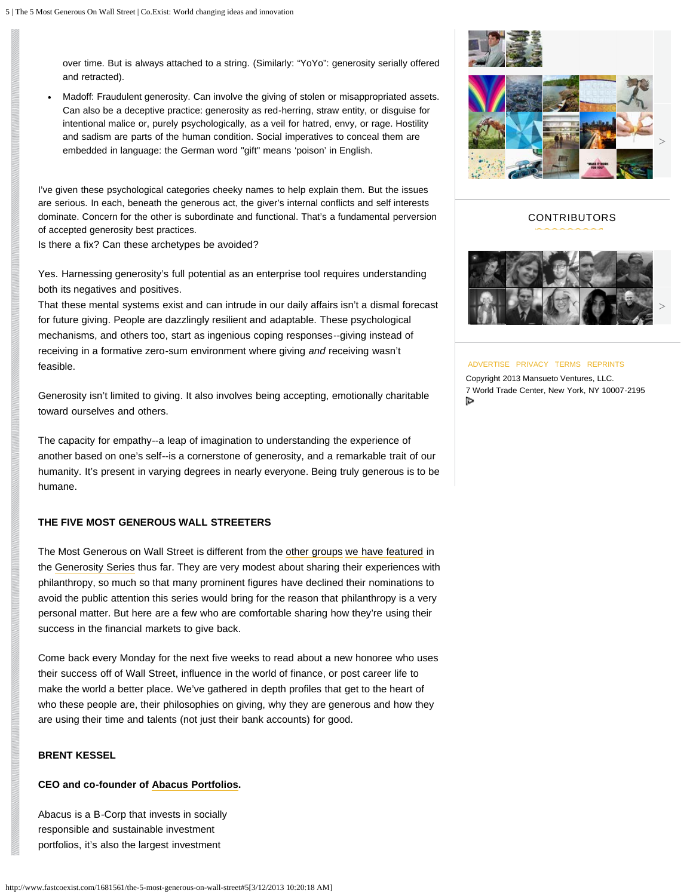over time. But is always attached to a string. (Similarly: "YoYo": generosity serially offered and retracted).

Madoff: Fraudulent generosity. Can involve the giving of stolen or misappropriated assets. Can also be a deceptive practice: generosity as red-herring, straw entity, or disguise for intentional malice or, purely psychologically, as a veil for hatred, envy, or rage. Hostility and sadism are parts of the human condition. Social imperatives to conceal them are embedded in language: the German word "gift" means 'poison' in English.

I've given these psychological categories cheeky names to help explain them. But the issues are serious. In each, beneath the generous act, the giver's internal conflicts and self interests dominate. Concern for the other is subordinate and functional. That's a fundamental perversion of accepted generosity best practices.

Is there a fix? Can these archetypes be avoided?

Yes. Harnessing generosity's full potential as an enterprise tool requires understanding both its negatives and positives.

That these mental systems exist and can intrude in our daily affairs isn't a dismal forecast for future giving. People are dazzlingly resilient and adaptable. These psychological mechanisms, and others too, start as ingenious coping responses--giving instead of receiving in a formative zero-sum environment where giving *and* receiving wasn't feasible.

Generosity isn't limited to giving. It also involves being accepting, emotionally charitable toward ourselves and others.

The capacity for empathy--a leap of imagination to understanding the experience of another based on one's self--is a cornerstone of generosity, and a remarkable trait of our humanity. It's present in varying degrees in nearly everyone. Being truly generous is to be humane.

#### **THE FIVE MOST GENEROUS WALL STREETERS**

The Most Generous on Wall Street is different from the [other groups](http://www.fastcoexist.com/1680919/the-10-most-generous-social-media-mavens#1) [we have featured](http://www.fastcoexist.com/1681181/the-11-most-generous-designers) in the [Generosity Series](http://www.fastcoexist.com/section/generosity-series) thus far. They are very modest about sharing their experiences with philanthropy, so much so that many prominent figures have declined their nominations to avoid the public attention this series would bring for the reason that philanthropy is a very personal matter. But here are a few who are comfortable sharing how they're using their success in the financial markets to give back.

Come back every Monday for the next five weeks to read about a new honoree who uses their success off of Wall Street, influence in the world of finance, or post career life to make the world a better place. We've gathered in depth profiles that get to the heart of who these people are, their philosophies on giving, why they are generous and how they are using their time and talents (not just their bank accounts) for good.

#### **BRENT KESSEL**

#### **CEO and co-founder of [Abacus Portfolios](http://www.abacuswealth.com/).**

Abacus is a B-Corp that invests in socially responsible and sustainable investment portfolios, it's also the largest investment



CONTRIBUTORS



#### [ADVERTISE](http://mediakit.fastcompany.com/) [PRIVACY](http://www.fastcompany.com/about/privacy_policy.php) [TERMS](http://www.fastcompany.com/about/service_terms.php) [REPRINTS](http://fastcompanyreprints.com/)

[Copyright 2013 Mansueto Ventures, LLC.](http://www.fastcompanyreprints.com/) 7 World Trade Center, New York, NY 10007-2195 ъ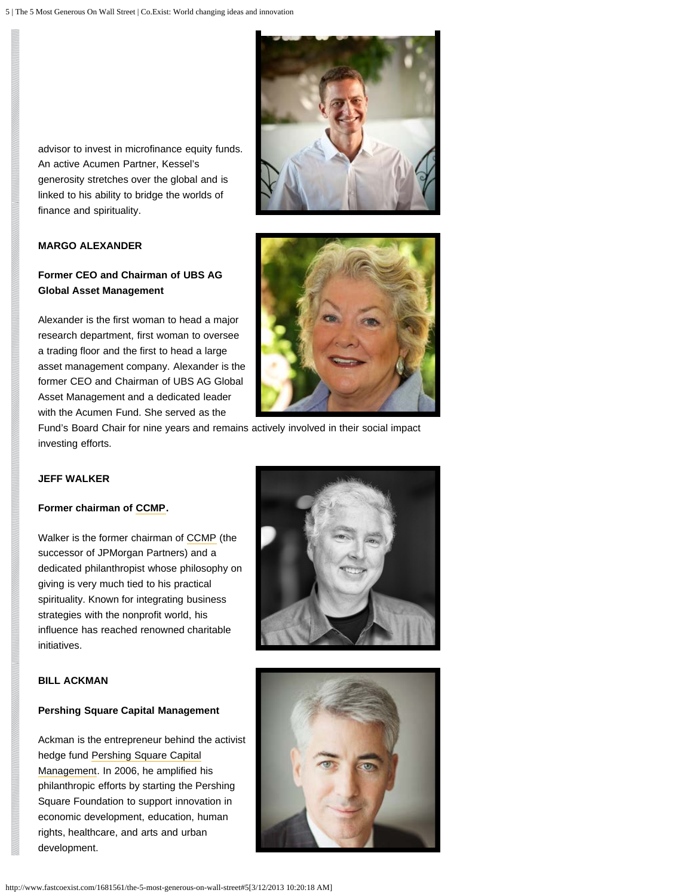advisor to invest in microfinance equity funds. An active Acumen Partner, Kessel's generosity stretches over the global and is linked to his ability to bridge the worlds of finance and spirituality.

#### **MARGO ALEXANDER**

#### **Former CEO and Chairman of UBS AG Global Asset Management**

Alexander is the first woman to head a major research department, first woman to oversee a trading floor and the first to head a large asset management company. Alexander is the former CEO and Chairman of UBS AG Global Asset Management and a dedicated leader with the Acumen Fund. She served as the

Fund's Board Chair for nine years and remains actively involved in their social impact

#### **JEFF WALKER**

investing efforts.

#### **Former chairman of [CCMP.](http://www.ccmpcapital.com/)**

Walker is the former chairman of [CCMP](http://www.ccmpcapital.com/) (the successor of JPMorgan Partners) and a dedicated philanthropist whose philosophy on giving is very much tied to his practical spirituality. Known for integrating business strategies with the nonprofit world, his influence has reached renowned charitable initiatives.

#### **BILL ACKMAN**

#### **Pershing Square Capital Management**

Ackman is the entrepreneur behind the activist hedge fund [Pershing Square Capital](http://www.pershing.com/index.html) [Management.](http://www.pershing.com/index.html) In 2006, he amplified his philanthropic efforts by starting the Pershing Square Foundation to support innovation in economic development, education, human rights, healthcare, and arts and urban development.





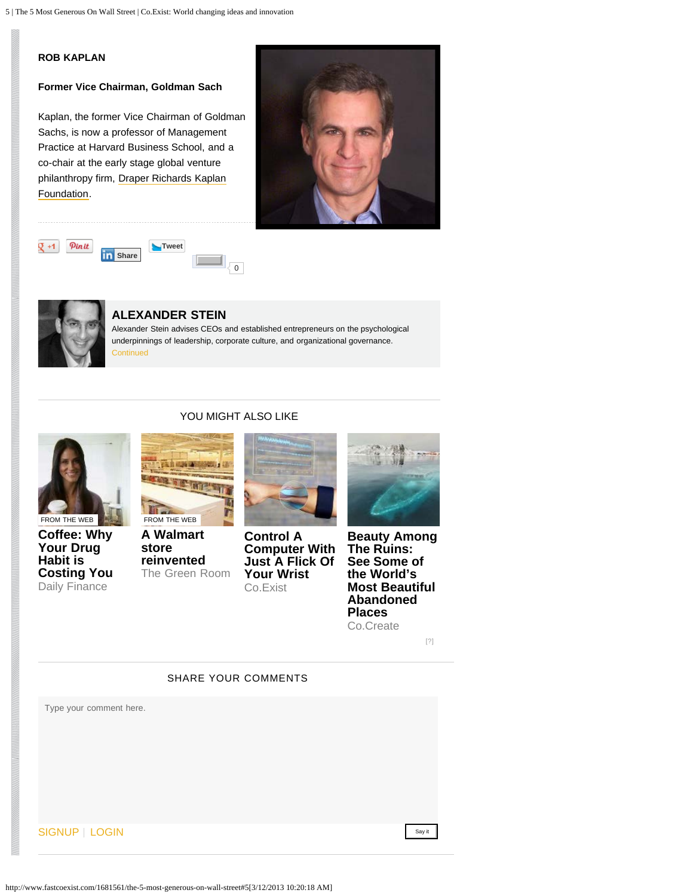#### **ROB KAPLAN**

#### **Former Vice Chairman, Goldman Sach**

Kaplan, the former Vice Chairman of Goldman Sachs, is now a professor of Management Practice at Harvard Business School, and a co-chair at the early stage global venture philanthropy firm, [Draper Richards Kaplan](http://www.drkfoundation.org/) [Foundation.](http://www.drkfoundation.org/)





#### **[ALEXANDER STEIN](#page-6-0)**

Alexander Stein advises CEOs and established entrepreneurs on the psychological underpinnings of leadership, corporate culture, and organizational governance. **[Continued](#page-6-0)** 

#### YOU MIGHT ALSO LIKE



**[Coffee: Why](http://www.dailyfinance.com/2012/01/10/savings-experiment-coffee/) [Your Drug](http://www.dailyfinance.com/2012/01/10/savings-experiment-coffee/) [Habit is](http://www.dailyfinance.com/2012/01/10/savings-experiment-coffee/) [Costing You](http://www.dailyfinance.com/2012/01/10/savings-experiment-coffee/)** [Daily Finance](http://www.dailyfinance.com/2012/01/10/savings-experiment-coffee/)



**[A Walmart](http://www.walmartgreenroom.com/2012/08/a-walmart-store-reinvented/) [store](http://www.walmartgreenroom.com/2012/08/a-walmart-store-reinvented/) [reinvented](http://www.walmartgreenroom.com/2012/08/a-walmart-store-reinvented/)** [The Green Room](http://www.walmartgreenroom.com/2012/08/a-walmart-store-reinvented/)



**[Control A](http://www.fastcoexist.com/1681498/control-a-computer-with-just-a-flick-of-your-wrist) [Computer With](http://www.fastcoexist.com/1681498/control-a-computer-with-just-a-flick-of-your-wrist) [Just A Flick Of](http://www.fastcoexist.com/1681498/control-a-computer-with-just-a-flick-of-your-wrist) [Your Wrist](http://www.fastcoexist.com/1681498/control-a-computer-with-just-a-flick-of-your-wrist)** [Co.Exist](http://www.fastcoexist.com/1681498/control-a-computer-with-just-a-flick-of-your-wrist)



**[Beauty Among](http://www.fastcocreate.com/1682492/beauty-among-the-ruins-see-some-of-the-worlds-most-beautiful-abandoned-places) [The Ruins:](http://www.fastcocreate.com/1682492/beauty-among-the-ruins-see-some-of-the-worlds-most-beautiful-abandoned-places) [See Some of](http://www.fastcocreate.com/1682492/beauty-among-the-ruins-see-some-of-the-worlds-most-beautiful-abandoned-places) [the World's](http://www.fastcocreate.com/1682492/beauty-among-the-ruins-see-some-of-the-worlds-most-beautiful-abandoned-places) [Most Beautiful](http://www.fastcocreate.com/1682492/beauty-among-the-ruins-see-some-of-the-worlds-most-beautiful-abandoned-places) [Abandoned](http://www.fastcocreate.com/1682492/beauty-among-the-ruins-see-some-of-the-worlds-most-beautiful-abandoned-places) [Places](http://www.fastcocreate.com/1682492/beauty-among-the-ruins-see-some-of-the-worlds-most-beautiful-abandoned-places)** [Co.Create](http://www.fastcocreate.com/1682492/beauty-among-the-ruins-see-some-of-the-worlds-most-beautiful-abandoned-places)

[\[?\]](#page-0-0)

#### SHARE YOUR COMMENTS

**[SIGNUP](#page-0-0) | [LOGIN](#page-0-0)** Type your comment here. Say it